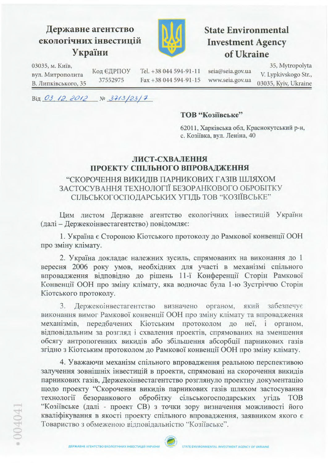# Державне агентство екологічних інвестицій України



# **State Environmental Investment Agency** of Ukraine

35, Mytropolyta 03035, м. Київ, Код ЄДРПОУ Tel. +38 044 594-91-11 seia@seia.gov.ua вул. Митрополита V. Lypkivskogo Str., 37552975 Fax +38 044 594-91-15 www.seia.gov.ua В. Липківського, 35 03035, Kyiv, Ukraine

Від 03, 12, 2012  $N<sup>0</sup>$  3713/23/7

#### ТОВ "Козіївське"

62011, Харківська обл, Краснокутський р-н, с. Козіївка, вул. Леніна, 40

## ЛИСТ-СХВАЛЕННЯ ПРОЕКТУ СПІЛЬНОГО ВПРОВАДЖЕННЯ

## "СКОРОЧЕННЯ ВИКИДІВ ПАРНИКОВИХ ГАЗІВ ШЛЯХОМ ЗАСТОСУВАННЯ ТЕХНОЛОГІЇ БЕЗОРАНКОВОГО ОБРОБІТКУ СІЛЬСЬКОГОСПОДАРСЬКИХ УГІДЬ ТОВ "КОЗІЇВСЬКЕ"

Цим листом Державне агентство екологічних інвестицій України (далі - Держекоінвестагентство) повідомляє:

1. Україна є Стороною Кіотського протоколу до Рамкової конвенції ООН про зміну клімату.

2. Україна докладає належних зусиль, спрямованих на виконання до 1 вересня 2006 року умов, необхідних для участі в механізмі спільного впровадження відповідно до рішень 11-ї Конференції Сторін Рамкової Конвенції ООН про зміну клімату, яка водночас була 1-ю Зустріччю Сторін Кіотського протоколу.

3. Держекоінвестагентство визначено органом, який забезпечує виконання вимог Рамкової конвенції ООН про зміну клімату та впровадження механізмів, передбачених Кіотським протоколом до неї, і органом, відповідальним за розгляд і схвалення проектів, спрямованих на зменшення обсягу антропогенних викидів або збільшення абсорбції парникових газів згідно з Кіотським протоколом до Рамкової конвенції ООН про зміну клімату.

4. Уважаючи механізм спільного впровадження реальною перспективою залучення зовнішніх інвестицій в проекти, спрямовані на скорочення викидів парникових газів, Держекоінвестагентство розглянуло проектну документацію щодо проекту "Скорочення викидів парникових газів шляхом застосування технології безоранкового обробітку сільськогосподарських угідь **TOB** "Козіївське (далі - проект СВ) з точки зору визначення можливості його кваліфікування в якості проекту спільного впровадження, заявником якого є Товариство з обмеженою відповідальністю "Козіївське".